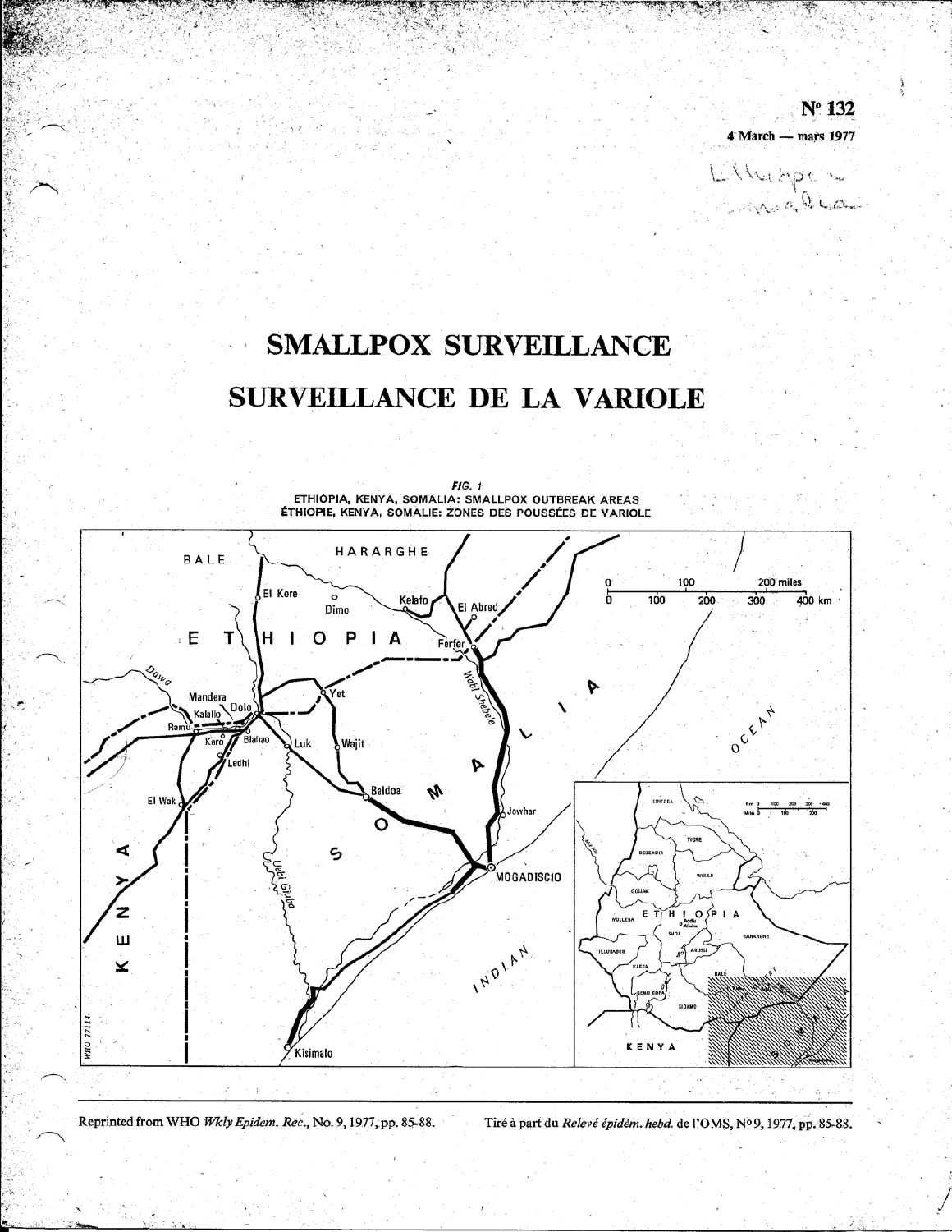Nº 132 4 March - mars 1977

Etheope

# **SMALLPOX SURVEILLANCE** SURVEILLANCE DE LA VARIOLE



 $FIG. 1$ ETHIOPIA, KENYA, SOMALIA: SMALLPOX OUTBREAK AREAS<br>ÉTHIOPIE, KENYA, SOMALIE: ZONES DES POUSSÉES DE VARIOLE

Reprinted from WHO Wkly Epidem. Rec., No. 9, 1977, pp. 85-88. Tiré à part du Relevé épidém. hebd. de l'OMS, Nº 9, 1977, pp. 85-88.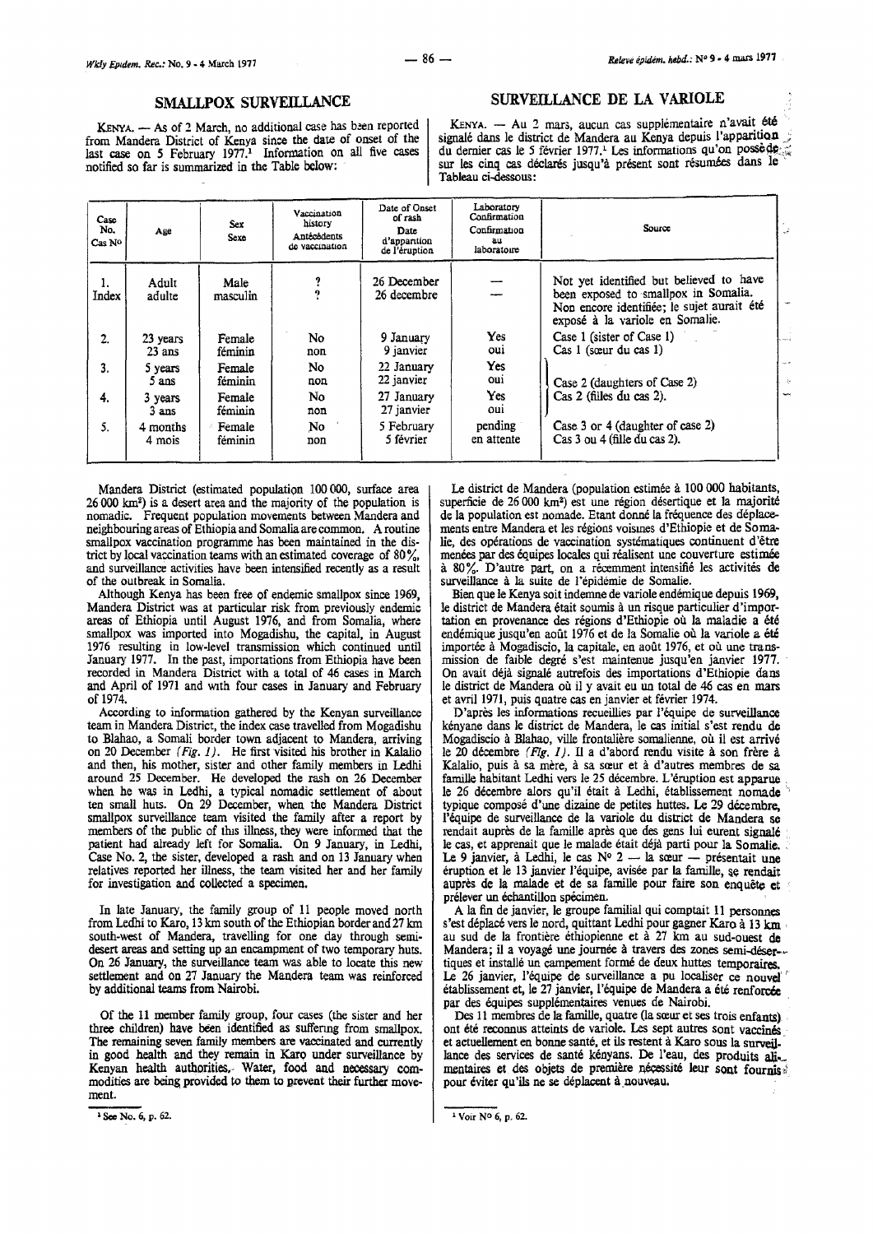#### SMALLPOX SURVEILLANCE

KENYA. - As of 2 March, no additional case has been reported from Mandera District of Kenya since the date of onset of the last case on 5 February 1977.<sup>1</sup> Information on all five cases notified so far is summarized in the Table below:

#### SURVEILLANCE DE LA VARIOLE

KENYA.  $-$  Au 2 mars, aucun cas supplémentaire n'avait ete signale dans le district de Mandera au Kenya depuis l'apparition  $\therefore$ du dernier cas le 5 février 1977.<sup>1</sup> Les informations qu'on possè de sur les cinq cas déclarés jusqu'à présent sont résumées dans le Tableau ci-dessous:

| Case<br>No.<br>Cas No | Age                                   | <b>Sex</b><br>Sexe | Vaccination<br>history<br><b>Antécédents</b><br>de vaccination | Laboratory<br>Date of Onset<br>Confirmation<br>of rash<br>Confirmation<br>Date<br>d'apparition<br>au.<br>laboratoire<br>de l'éruption |                       | Source                                                                                                                                                           | تمد                 |
|-----------------------|---------------------------------------|--------------------|----------------------------------------------------------------|---------------------------------------------------------------------------------------------------------------------------------------|-----------------------|------------------------------------------------------------------------------------------------------------------------------------------------------------------|---------------------|
| ı.<br>Index           | Adult<br>adulte                       | Male<br>masculin   | 9<br>9                                                         | 26 December<br>26 decembre                                                                                                            |                       | Not yet identified but believed to have<br>been exposed to smallpox in Somalia.<br>Non encore identifiée; le sujet aurait été<br>exposé à la variole en Somalie. |                     |
| 2.                    | 23 years<br>$23$ ans                  | Female<br>féminin  | No.<br>non                                                     | 9 January<br>9 janvier                                                                                                                | Yes<br>oui            | Case 1 (sister of Case 1)<br>Cas 1 (sœur du cas 1)                                                                                                               |                     |
| 3.                    | 5 years<br>5 ans                      | Female<br>féminin  | No.<br>non                                                     | 22 January<br>22 janvier                                                                                                              | Yes<br><b>Cui</b>     | Case 2 (daughters of Case 2)                                                                                                                                     | $\tau_{\rm{max}}$ : |
| 4.                    | Female<br>3 years<br>féminin<br>3 ans |                    | No<br>non                                                      | 27 January<br>27 janvier                                                                                                              | Yes<br>oui            | Cas 2 (filles du cas 2).                                                                                                                                         | ÷                   |
| 5.                    | 4 months<br>4 mois                    | Female<br>féminin  | No<br>non                                                      | 5 February<br>5 février                                                                                                               | pending<br>en attente | Case 3 or 4 (daughter of case 2)<br>Cas 3 ou 4 (fille du cas 2).                                                                                                 |                     |

Mandera District (estimated population 100 000, surface area 26 000 km2) is a desert area and the majority of the population is nomadic. Frequent population movements between Mandera and neighbouring areas of Ethiopia and Somalia are common. A routine smallpox vaccination programme has been maintained in the district by local vaccination teams with an estimated coverage of  $80\%$ , and surveillance activities have been intensified recently as a result of the outbreak in Somalia.

Although Kenya has been free of endemic smallpox since 1969, Mandera District was at particular risk from previously endemic areas of Ethiopia until August 1976, and from Somalia, where smallpox was imported into Mogadishu, the capital, in August 1976 resulting in low-level transmission which continued until January 1977. In the past, importations from Ethiopia have been recorded in Mandera District with a total of 46 cases in March and April of 1971 and With four cases in January and February of 1974.

According to information gathered by the Kenyan surveillance team in Mandera District, the index case travelled from Mogadishu to Blahao, a Somali border town adjacent to Mandera, arriving on 20 December (Fig. 1). He first visited his brother in Kalalio and then, his mother, sister and other family members in Ledhi around 25 December. He developed the rash on 26 December when he was in Ledhi, a typical nomadic settlement of about ten small huts. On 29 December, when the Mandera District smallpox surveillance team visited the family after a report by members of the public of this illness, they were informed that the patient had already left for Somalia. On 9 January, in Ledhi, Case No. 2, the sister, developed a rash and on 13 January when relatives reported her illness, the team visited her and her family for investigation and collected a specimen.

In late January, the family group of 11 people moved north from Ledhi to Karo, 13 km south of the Ethiopian border and 27 km south-west of Mandera, travelling for one day through semidesert areas and setting up an encampment of two temporary huts. On 26 January, the surveillance team was able to locate this new settlement and on 27 January the Mandera team was reinforced by additional teams from Nairobi.

Of the 11 member family group, four cases (the sister and her three children) have been identified as sulfenng from smallpox. The remaining seven family members are vaccinated and currently in good health and they remain in Karo under surveillance by Kenyan health authorities.. Water, food and necessacy commodities are being provided to them to prevent their further movement.

' See No. 6, p. 62.

Le district de Mandera (population estimée à 100 000 habitants, superficie de 26 000 km<sup>2</sup>) est une région désertique et la majorité de Ia population est nomade. Etant donne Ia frequence des deplacements entre Mandera et les regions voismes d'Ethiopie et de Somalie, des operations de vaccination systematiques continuent d'etre menees par des equipes locales qui realisent une couverture estimee a 80%. D'autre part, on a recemment intensifie les activites de surveillance à la suite de l'épidémie de Somalie.

Bien que le Kenya soit indemne de variole endemique depuis 1969, le district de Mandera etait soumis a un risque partieulier d'importation en provenance des régions d'Ethiopie où la maladie a été endémique jusqu'en août 1976 et de la Somalie où la variole a été importée à Mogadiscio, la capitale, en août 1976, et où une transmission de faible degré s'est maintenue jusqu'en janvier 1977. On avait deja signale autrefois des importations d'Ethiopie dans le district de Mandera où il y avait eu un total de 46 cas en mars et avril 1971, puis quatre cas en janvier et fevrier 1974.

D'après les informations recueillies par l'équipe de surveillance kényane dans le district de Mandera, le cas initial s'est rendu de Mogadiscio a Blahao, ville frontaliere somalienne, ou il est arrive le 20 décembre  $(Fig. 1)$ . Il a d'abord rendu visite à son frère à Kalalio, puis à sa mère, à sa sœur et à d'autres membres de sa famille habitant Ledhi vers le 25 décembre. L'éruption est apparue le 26 decembre alors qu'il etait a Ledhi, etablissement nomade typique compose d'une dizaine de petites buttes. Le 29 decembre, l'equipe de surveillance de Ia variole du district de Mandera se rendait auprès de la famille après que des gens lui eurent signalé le cas, et apprenait que le malade était déjà parti pour la Somalie.<br>Le 9 janvier, à Ledhi, le cas N° 2 — la sœur — présentait une éruption et le 13 janvier l'équipe, avisée par la famille, se rendait auprès de la malade et de sa famille pour faire son enquête et prélever un échantillon spécimen.

A Ia fin de janvier, le groupe familial qui comptait 11 personnes s'est déplacé vers le nord, quittant Ledhi pour gagner Karo à 13 km au sud-ouest de Mandera; il a voyagé une journée à travers des zones semi-déser-tiques et installé un campement formé de deux huttes temporaires. Le 26 janvier, l'équipe de surveillance a pu localiser ce nouvel établissement et, le 27 janvier, l'équipe de Mandera a été renforcée par des équipes supplémentaires venues de Nairobi.

Des 11 membres de la famille, quatre (la sœur et ses trois enfants) ont été reconnus atteints de variole. Les sept autres sont vaccinés et actuellement en bonne santé, et ils restent à Karo sous la surveil. lance des services de santé kényans. De l'eau, des produits alimentaires et des objets de première nécessité leur sont fournis ; pour éviter qu'ils ne se déplacent à nouveau.

' Voir NO 6, p. 62.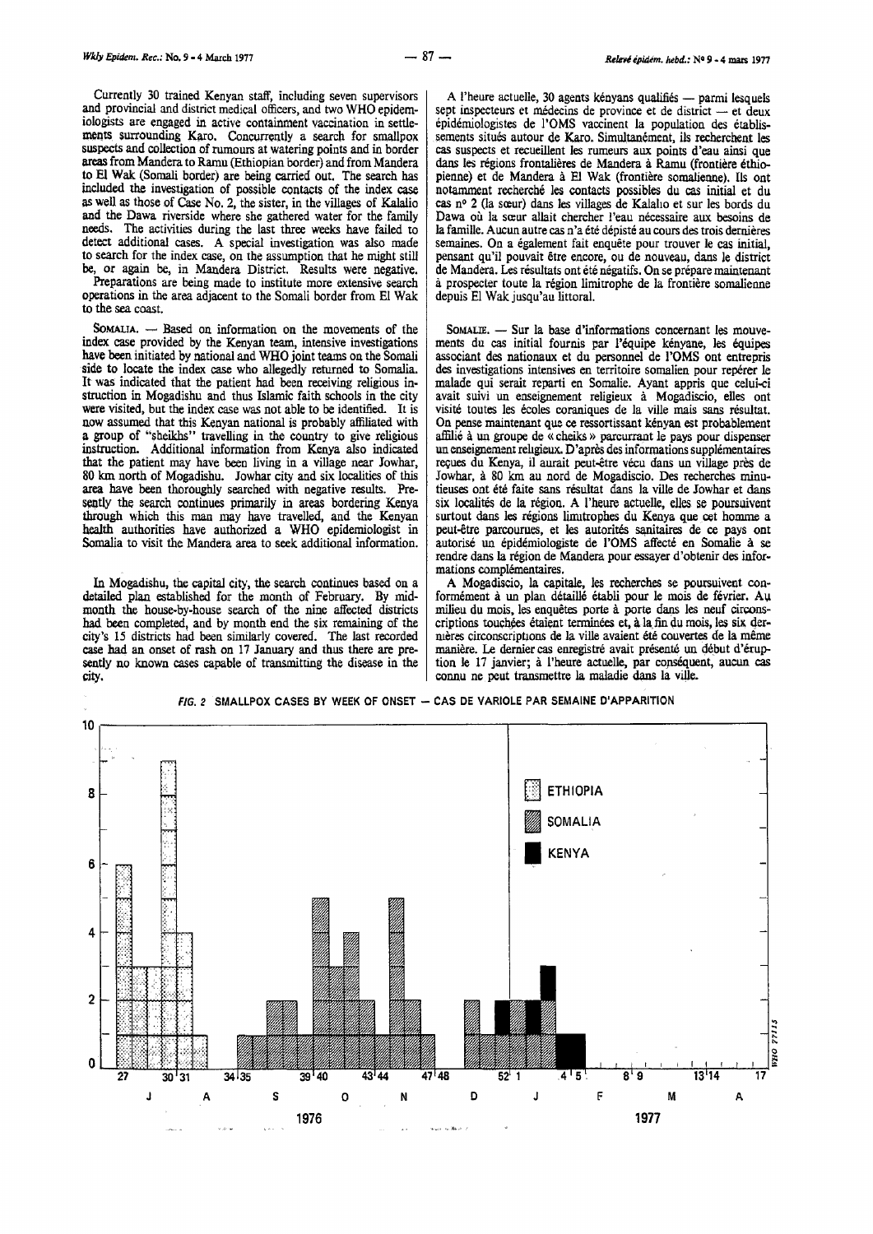Currently 30 trained Kenyan staff, including seven supervisors and provincial and district medical officers, and two WHO epidemiologists are engaged in active containment vaccination in settlements surrounding Karo. Concurrently a search for smallpox suspects and collection of rumours at watering points and in border areas from Mandera to Ramu (Ethiopian border) and from Mandera to El Wak (Somali border) are being carried out. The search has included the investigation of possible contacts of the index case as well as those of Case No. 2, the sister, in the villages of Kalalio and the Dawa riverside where she gathered water for the family needs. The activities during the last three weeks have failed to detect additional cases. A special investigation was also made to search for the index case, on the assumption that he might still be, or again be, in Mandera District. Results were negative.

Preparations are being made to institute more extensive search operations in the area adjacent to the Somali border from El Wak to the sea coast.

SOMALIA. - Based on information on the movements of the index case provided by the Kenyan team, intensive investigations have been initiated by national and WHO joint teams on the Somali side to locate the index case who allegedly returned to Somalia. It was indicated that the patient had been receiving religious in-<br>struction in Mogadishu and thus Islamic faith schools in the city struction in Mogadishu and thus Islamic faith schools in the city were visited, but the index case was not able to be identified. It is now assumed that this Kenyan national is probably affiliated with a group of "sheikhs" travelling in the country to give religious instruction. Additional information from Kenya also indicated that the patient may have been living in a village near Jowhar, 80 km north of Mogadishu. Jowhar city and six localities of this area have been thoroughly searched with negative results. Presently the search continues primarily in areas bordering Kenya through which this man may have travelled, and the Kenyan health authorities have authorized a WHO epidemiologist in Somalia to visit the Mandera area to seek additional information.

In Mogadishu, the capital city, the search continues based on a detailed plan established for the month of February. By midmonth the house-by-house search of the nine affected districts had been completed, and by month end the six remaining of the city's 15 districts had been similarly covered. The last recorded case had an onset of rash on 17 January and thus there are presently no known cases capable of transmitting the disease in the city.

A l'heure actuelle, 30 agents kényans qualifiés - parmi lesquels sept inspecteurs et médecins de province et de district - et deux epidemiologistes de l'OMS vaccinent la population des etablissements situés autour de Karo. Simultanément, ils recherchent les cas suspects et recueillent les rumeurs aux points d'eau ainsi que dans les régions frontalières de Mandera à Ramu (frontière éthiopienne) et de Mandera à El Wak (frontière somalienne). Ils ont notamment recherché les contacts possibles du cas initial et du cas n° 2 (la sœur) dans les villages de Kalaho et sur les bords du Dawa où la sœur allait chercher l'eau nécessaire aux besoins de la famille. Aucun autre cas n 'a ete depiste au cours des trois dernieres semaines. On a également fait enquête pour trouver le cas initial, pensant qu'il pouvait être encore, ou de nouveau, dans le district de Mandera. Les résultats ont été négatifs. On se prépare maintenant a prospecter toute Ia region limitrophe de Ia frontiere somalienne depuis El Wak jusqu'au littoral.

SoMAUE. - Sur la base d'informations concernant les mouve- ments du cas initial fournis par l'equipe kenyane, les equipes associant des nationaux et du personnel de l'OMS ont entrepris des investigations intensives en territoire somalien pour reperer le malade qui serait reparti en Somalie. Ayant appris que celui-ci avait suivi un enseignement religieux a Mogadiscio, elles ont visite toutes les ecoles coraniques de la ville mais sans resultat. On pense maintenant que ce ressortissant kenyan est probablement affilie à un groupe de « cheiks » parcurrant le pays pour dispenser un enseignement religieux. D'après des informations supplémentaires reçues du Kenya, il aurait peut-être vécu dans un village près de Jowhar, à 80 km au nord de Mogadiscio. Des recherches minutieuses ont été faite sans résultat dans la ville de Jowhar et dans six localites de Ia region. A l'heure actuelle, elles se poursuivent surtout dans les régions limitrophes du Kenya que cet homme a peut-être parcourues, et les autorités sanitaires de ce pays ont autorisé un épidémiologiste de l'OMS affecté en Somalie à se rendre dans la région de Mandera pour essayer d'obtenir des informations complémentaires.

A Mogadiscio, Ia capitale, les recherches se poursuivent conformément à un plan détaillé établi pour le mois de février. Au milieu du mois, les enquêtes porte à porte dans les neuf circonscriptions touchées étaient terminées et, à la fin du mois, les six dernières circonscriptions de la ville avaient été couvertes de la même manière. Le dernier cas enregistré avait présenté un début d'éruption Ie 17 janvier; a l'heure actuelle, par copsequent, aucun cas connu ne peut transmettre Ia maladie dans Ia ville.



FIG. 2 SMALLPOX CASES BY WEEK OF ONSET - CAS DE VARIOLE PAR SEMAINE D'APPARITION